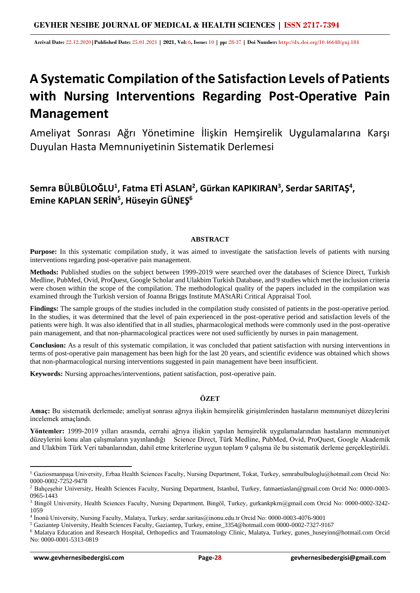**Arrival Date:** 22.12.2020**|Published Date:** 25.01.2021 **| 2021, Vol:** 6**, Issue:** 10 **| pp:** 28-37 **| Doi Number:** http://dx.doi.org/10.46648/gnj.184

# **A Systematic Compilation of the Satisfaction Levels of Patients with Nursing Interventions Regarding Post-Operative Pain Management**

Ameliyat Sonrası Ağrı Yönetimine İlişkin Hemşirelik Uygulamalarına Karşı Duyulan Hasta Memnuniyetinin Sistematik Derlemesi

# **Semra BÜLBÜLOĞLU<sup>1</sup> , Fatma ETİ ASLAN<sup>2</sup> , Gürkan KAPIKIRAN<sup>3</sup> , Serdar SARITAŞ<sup>4</sup> , Emine KAPLAN SERİN<sup>5</sup> , Hüseyin GÜNEŞ<sup>6</sup>**

# **ABSTRACT**

**Purpose:** In this systematic compilation study, it was aimed to investigate the satisfaction levels of patients with nursing interventions regarding post-operative pain management.

**Methods:** Published studies on the subject between 1999-2019 were searched over the databases of Science Direct, Turkish Medline, PubMed, Ovid, ProQuest, Google Scholar and Ulakbim Turkish Database, and 9 studies which met the inclusion criteria were chosen within the scope of the compilation. The methodological quality of the papers included in the compilation was examined through the Turkish version of Joanna Briggs Institute MAStARi Critical Appraisal Tool.

**Findings:** The sample groups of the studies included in the compilation study consisted of patients in the post-operative period. In the studies, it was determined that the level of pain experienced in the post-operative period and satisfaction levels of the patients were high. It was also identified that in all studies, pharmacological methods were commonly used in the post-operative pain management, and that non-pharmacological practices were not used sufficiently by nurses in pain management.

**Conclusion:** As a result of this systematic compilation, it was concluded that patient satisfaction with nursing interventions in terms of post-operative pain management has been high for the last 20 years, and scientific evidence was obtained which shows that non-pharmacological nursing interventions suggested in pain management have been insufficient.

**Keywords:** Nursing approaches/interventions, patient satisfaction, post-operative pain.

# **ÖZET**

**Amaç:** Bu sistematik derlemede; ameliyat sonrası ağrıya ilişkin hemşirelik girişimlerinden hastaların memnuniyet düzeylerini incelemek amaçlandı.

**Yöntemler:** 1999-2019 yılları arasında, cerrahi ağrıya ilişkin yapılan hemşirelik uygulamalarından hastaların memnuniyet düzeylerini konu alan çalışmaların yayınlandığı Science Direct, Türk Medline, PubMed, Ovid, ProQuest, Google Akademik and Ulakbim Türk Veri tabanlarından, dahil etme kriterlerine uygun toplam 9 çalışma ile bu sistematik derleme gerçekleştirildi.

<sup>&</sup>lt;sup>1</sup> Gaziosmanpaşa University, Erbaa Health Sciences Faculty, Nursing Department, Tokat, Turkey, semrabulbuloglu@hotmail.com Orcid No: 0000-0002-7252-9478

<sup>2</sup> Bahçeşehir University, Health Sciences Faculty, Nursing Department, Istanbul, Turkey, fatmaetiaslan@gmail.com Orcid No: 0000-0003- 0965-1443

<sup>3</sup> Bingöl University, Health Sciences Faculty, Nursing Department, Bingöl, Turkey, gurkankpkrn@gmail.com Orcid No: 0000-0002-3242- 1059

<sup>4</sup> İnonü University, Nursing Faculty, Malatya, Turkey, serdar.saritas@inonu.edu.tr Orcid No: 0000-0003-4076-9001

<sup>5</sup> Gaziantep University, Health Sciences Faculty, Gaziantep, Turkey, emine\_3354@hotmail.com 0000-0002-7327-9167

<sup>6</sup> Malatya Education and Research Hospital, Orthopedics and Traumatology Clinic, Malatya, Turkey, gunes\_huseyinn@hotmail.com Orcid No: 0000-0001-5313-0819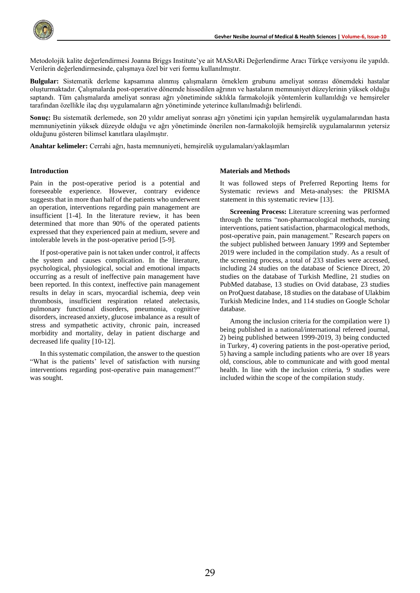

Metodolojik kalite değerlendirmesi Joanna Briggs Institute'ye ait MAStARi Değerlendirme Aracı Türkçe versiyonu ile yapıldı. Verilerin değerlendirmesinde, çalışmaya özel bir veri formu kullanılmıştır.

**Bulgular:** Sistematik derleme kapsamına alınmış çalışmaların örneklem grubunu ameliyat sonrası dönemdeki hastalar oluşturmaktadır. Çalışmalarda post-operative dönemde hissedilen ağrının ve hastaların memnuniyet düzeylerinin yüksek olduğu saptandı. Tüm çalışmalarda ameliyat sonrası ağrı yönetiminde sıklıkla farmakolojik yöntemlerin kullanıldığı ve hemşireler tarafından özellikle ilaç dışı uygulamaların ağrı yönetiminde yeterince kullanılmadığı belirlendi.

**Sonuç:** Bu sistematik derlemede, son 20 yıldır ameliyat sonrası ağrı yönetimi için yapılan hemşirelik uygulamalarından hasta memnuniyetinin yüksek düzeyde olduğu ve ağrı yönetiminde önerilen non-farmakolojik hemşirelik uygulamalarının yetersiz olduğunu gösteren bilimsel kanıtlara ulaşılmıştır.

**Anahtar kelimeler:** Cerrahi ağrı, hasta memnuniyeti, hemşirelik uygulamaları/yaklaşımları

#### **Introduction**

Pain in the post-operative period is a potential and foreseeable experience. However, contrary evidence suggests that in more than half of the patients who underwent an operation, interventions regarding pain management are insufficient [1-4]. In the literature review, it has been determined that more than 90% of the operated patients expressed that they experienced pain at medium, severe and intolerable levels in the post-operative period [5-9].

If post-operative pain is not taken under control, it affects the system and causes complication. In the literature, psychological, physiological, social and emotional impacts occurring as a result of ineffective pain management have been reported. In this context, ineffective pain management results in delay in scars, myocardial ischemia, deep vein thrombosis, insufficient respiration related atelectasis, pulmonary functional disorders, pneumonia, cognitive disorders, increased anxiety, glucose imbalance as a result of stress and sympathetic activity, chronic pain, increased morbidity and mortality, delay in patient discharge and decreased life quality [10-12].

In this systematic compilation, the answer to the question "What is the patients' level of satisfaction with nursing interventions regarding post-operative pain management?" was sought.

#### **Materials and Methods**

It was followed steps of Preferred Reporting Items for Systematic reviews and Meta-analyses: the PRISMA statement in this systematic review [13].

**Screening Process:** Literature screening was performed through the terms "non-pharmacological methods, nursing interventions, patient satisfaction, pharmacological methods, post-operative pain, pain management." Research papers on the subject published between January 1999 and September 2019 were included in the compilation study. As a result of the screening process, a total of 233 studies were accessed, including 24 studies on the database of Science Direct, 20 studies on the database of Turkish Medline, 21 studies on PubMed database, 13 studies on Ovid database, 23 studies on ProQuest database, 18 studies on the database of Ulakbim Turkish Medicine Index, and 114 studies on Google Scholar database.

Among the inclusion criteria for the compilation were 1) being published in a national/international refereed journal, 2) being published between 1999-2019, 3) being conducted in Turkey, 4) covering patients in the post-operative period, 5) having a sample including patients who are over 18 years old, conscious, able to communicate and with good mental health. In line with the inclusion criteria, 9 studies were included within the scope of the compilation study.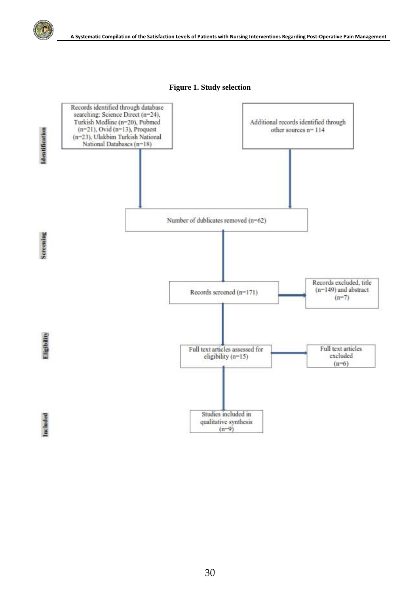

**Figure 1. Study selection**

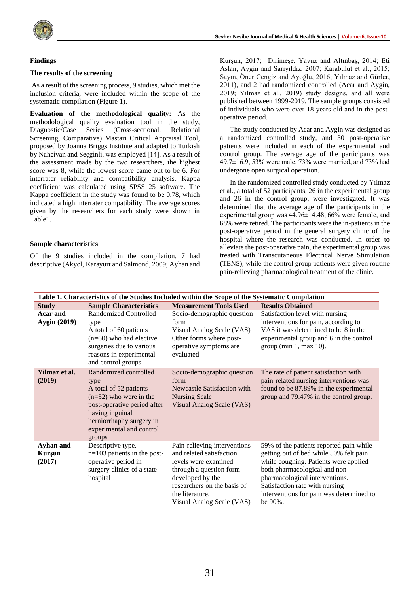

# **Findings**

#### **The results of the screening**

As a result of the screening process, 9 studies, which met the inclusion criteria, were included within the scope of the systematic compilation (Figure 1).

**Evaluation of the methodological quality:** As the methodological quality evaluation tool in the study, Diagnostic/Case Series (Cross-sectional, Relational Screening, Comparative) Mastari Critical Appraisal Tool, proposed by Joanna Briggs Institute and adapted to Turkish by Nahcivan and Seçginli, was employed [14]. As a result of the assessment made by the two researchers, the highest score was 8, while the lowest score came out to be 6. For interrater reliability and compatibility analysis, Kappa coefficient was calculated using SPSS 25 software. The Kappa coefficient in the study was found to be 0.78, which indicated a high interrater compatibility. The average scores given by the researchers for each study were shown in Table1.

#### **Sample characteristics**

Of the 9 studies included in the compilation, 7 had descriptive (Akyol, Karayurt and Salmond, 2009; Ayhan and Kurşun, 2017; Dirimeşe, Yavuz and Altınbaş, 2014; Eti Aslan, Aygin and Sarıyıldız, 2007; Karabulut et al., 2015; Sayın, Öner Cengiz and Ayoğlu, 2016; Yılmaz and Gürler, 2011), and 2 had randomized controlled (Acar and Aygin, 2019; Yılmaz et al., 2019) study designs, and all were published between 1999-2019. The sample groups consisted of individuals who were over 18 years old and in the postoperative period.

The study conducted by Acar and Aygin was designed as a randomized controlled study, and 30 post-operative patients were included in each of the experimental and control group. The average age of the participants was 49.7±16.9, 53% were male, 73% were married, and 73% had undergone open surgical operation.

In the randomized controlled study conducted by Yılmaz et al., a total of 52 participants, 26 in the experimental group and 26 in the control group, were investigated. It was determined that the average age of the participants in the experimental group was 44.96±14.48, 66% were female, and 68% were retired. The participants were the in-patients in the post-operative period in the general surgery clinic of the hospital where the research was conducted. In order to alleviate the post-operative pain, the experimental group was treated with Transcutaneous Electrical Nerve Stimulation (TENS), while the control group patients were given routine pain-relieving pharmacological treatment of the clinic.

| Table 1. Characteristics of the Studies Included within the Scope of the Systematic Compilation |                                                                                                                                                                                                         |                                                                                                                                                                                                                |                                                                                                                                                                                                                                                                                        |  |  |
|-------------------------------------------------------------------------------------------------|---------------------------------------------------------------------------------------------------------------------------------------------------------------------------------------------------------|----------------------------------------------------------------------------------------------------------------------------------------------------------------------------------------------------------------|----------------------------------------------------------------------------------------------------------------------------------------------------------------------------------------------------------------------------------------------------------------------------------------|--|--|
| <b>Study</b>                                                                                    | <b>Sample Characteristics</b>                                                                                                                                                                           | <b>Measurement Tools Used</b>                                                                                                                                                                                  | <b>Results Obtained</b>                                                                                                                                                                                                                                                                |  |  |
| Acar and<br><b>Aygin</b> (2019)                                                                 | <b>Randomized Controlled</b><br>type<br>A total of 60 patients<br>$(n=60)$ who had elective<br>surgeries due to various<br>reasons in experimental<br>and control groups                                | Socio-demographic question<br>form<br>Visual Analog Scale (VAS)<br>Other forms where post-<br>operative symptoms are<br>evaluated                                                                              | Satisfaction level with nursing<br>interventions for pain, according to<br>VAS it was determined to be 8 in the<br>experimental group and 6 in the control<br>group (min $1$ , max $10$ ).                                                                                             |  |  |
| Yilmaz et al.<br>(2019)                                                                         | Randomized controlled<br>type<br>A total of 52 patients<br>$(n=52)$ who were in the<br>post-operative period after<br>having inguinal<br>herniorrhaphy surgery in<br>experimental and control<br>groups | Socio-demographic question<br>form<br>Newcastle Satisfaction with<br><b>Nursing Scale</b><br>Visual Analog Scale (VAS)                                                                                         | The rate of patient satisfaction with<br>pain-related nursing interventions was<br>found to be 87.89% in the experimental<br>group and 79.47% in the control group.                                                                                                                    |  |  |
| Ayhan and<br>Kurşun<br>(2017)                                                                   | Descriptive type.<br>$n=103$ patients in the post-<br>operative period in<br>surgery clinics of a state<br>hospital                                                                                     | Pain-relieving interventions<br>and related satisfaction<br>levels were examined<br>through a question form<br>developed by the<br>researchers on the basis of<br>the literature.<br>Visual Analog Scale (VAS) | 59% of the patients reported pain while<br>getting out of bed while 50% felt pain<br>while coughing. Patients were applied<br>both pharmacological and non-<br>pharmacological interventions.<br>Satisfaction rate with nursing<br>interventions for pain was determined to<br>be 90%. |  |  |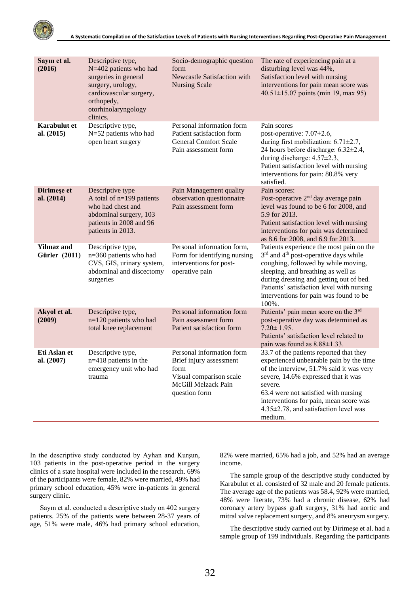

| Sayın et al.<br>(2016)                    | Descriptive type,<br>N=402 patients who had<br>surgeries in general<br>surgery, urology,<br>cardiovascular surgery,<br>orthopedy,<br>otorhinolaryngology<br>clinics. | Socio-demographic question<br>form<br><b>Newcastle Satisfaction with</b><br><b>Nursing Scale</b>                                | The rate of experiencing pain at a<br>disturbing level was 44%,<br>Satisfaction level with nursing<br>interventions for pain mean score was<br>$40.51 \pm 15.07$ points (min 19, max 95)                                                                                                                               |
|-------------------------------------------|----------------------------------------------------------------------------------------------------------------------------------------------------------------------|---------------------------------------------------------------------------------------------------------------------------------|------------------------------------------------------------------------------------------------------------------------------------------------------------------------------------------------------------------------------------------------------------------------------------------------------------------------|
| Karabulut et<br>al. (2015)                | Descriptive type,<br>N=52 patients who had<br>open heart surgery                                                                                                     | Personal information form<br>Patient satisfaction form<br><b>General Comfort Scale</b><br>Pain assessment form                  | Pain scores<br>post-operative: $7.07\pm2.6$ ,<br>during first mobilization: $6.71 \pm 2.7$ ,<br>24 hours before discharge: 6.32±2.4,<br>during discharge: $4.57 \pm 2.3$ ,<br>Patient satisfaction level with nursing<br>interventions for pain: 80.8% very<br>satisfied.                                              |
| Dirimeșe et<br>al. (2014)                 | Descriptive type<br>A total of $n=199$ patients<br>who had chest and<br>abdominal surgery, 103<br>patients in 2008 and 96<br>patients in 2013.                       | Pain Management quality<br>observation questionnaire<br>Pain assessment form                                                    | Pain scores:<br>Post-operative 2 <sup>nd</sup> day average pain<br>level was found to be 6 for 2008, and<br>5.9 for 2013.<br>Patient satisfaction level with nursing<br>interventions for pain was determined<br>as 8.6 for 2008, and 6.9 for 2013.                                                                    |
| <b>Yilmaz</b> and<br><b>Gürler</b> (2011) | Descriptive type,<br>n=360 patients who had<br>CVS, GIS, urinary system,<br>abdominal and discectomy<br>surgeries                                                    | Personal information form,<br>Form for identifying nursing<br>interventions for post-<br>operative pain                         | Patients experience the most pain on the<br>3rd and 4 <sup>th</sup> post-operative days while<br>coughing, followed by while moving,<br>sleeping, and breathing as well as<br>during dressing and getting out of bed.<br>Patients' satisfaction level with nursing<br>interventions for pain was found to be<br>100%.  |
| Akyol et al.<br>(2009)                    | Descriptive type,<br>n=120 patients who had<br>total knee replacement                                                                                                | Personal information form<br>Pain assessment form<br>Patient satisfaction form                                                  | Patients' pain mean score on the 3rd<br>post-operative day was determined as<br>$7.20 \pm 1.95$ .<br>Patients' satisfaction level related to<br>pain was found as 8.88±1.33.                                                                                                                                           |
| Eti Aslan et<br>al. (2007)                | Descriptive type,<br>$n=418$ patients in the<br>emergency unit who had<br>trauma                                                                                     | Personal information form<br>Brief injury assessment<br>form<br>Visual comparison scale<br>McGill Melzack Pain<br>question form | 33.7 of the patients reported that they<br>experienced unbearable pain by the time<br>of the interview, 51.7% said it was very<br>severe, 14.6% expressed that it was<br>severe.<br>63.4 were not satisfied with nursing<br>interventions for pain, mean score was<br>4.35±2.78, and satisfaction level was<br>medium. |

In the descriptive study conducted by Ayhan and Kurşun, 103 patients in the post-operative period in the surgery clinics of a state hospital were included in the research. 69% of the participants were female, 82% were married, 49% had primary school education, 45% were in-patients in general surgery clinic.

Sayın et al. conducted a descriptive study on 402 surgery patients. 25% of the patients were between 28-37 years of age, 51% were male, 46% had primary school education,

82% were married, 65% had a job, and 52% had an average income.

The sample group of the descriptive study conducted by Karabulut et al. consisted of 32 male and 20 female patients. The average age of the patients was 58.4, 92% were married, 48% were literate, 73% had a chronic disease, 62% had coronary artery bypass graft surgery, 31% had aortic and mitral valve replacement surgery, and 8% aneurysm surgery.

The descriptive study carried out by Dirimeşe et al. had a sample group of 199 individuals. Regarding the participants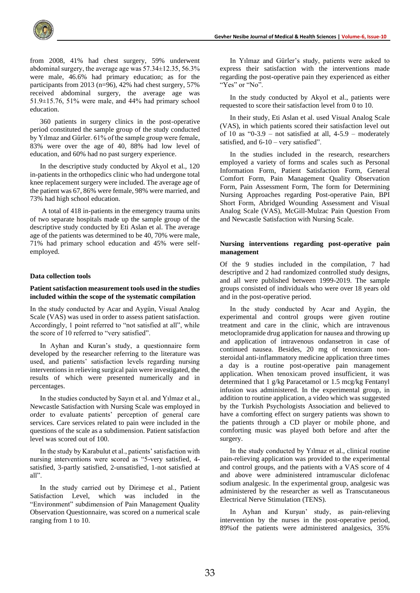from 2008, 41% had chest surgery, 59% underwent abdominal surgery, the average age was 57.34±12.35, 56.3% were male, 46.6% had primary education; as for the participants from 2013 (n=96), 42% had chest surgery, 57% received abdominal surgery, the average age was 51.9±15.76, 51% were male, and 44% had primary school education.

360 patients in surgery clinics in the post-operative period constituted the sample group of the study conducted by Yılmaz and Gürler. 61% of the sample group were female, 83% were over the age of 40, 88% had low level of education, and 60% had no past surgery experience.

In the descriptive study conducted by Akyol et al., 120 in-patients in the orthopedics clinic who had undergone total knee replacement surgery were included. The average age of the patient was 67, 86% were female, 98% were married, and 73% had high school education.

A total of 418 in-patients in the emergency trauma units of two separate hospitals made up the sample group of the descriptive study conducted by Eti Aslan et al. The average age of the patients was determined to be 40, 70% were male, 71% had primary school education and 45% were selfemployed.

#### **Data collection tools**

### **Patient satisfaction measurement tools used in the studies included within the scope of the systematic compilation**

In the study conducted by Acar and Aygün, Visual Analog Scale (VAS) was used in order to assess patient satisfaction. Accordingly, 1 point referred to "not satisfied at all", while the score of 10 referred to "very satisfied".

In Ayhan and Kuran's study, a questionnaire form developed by the researcher referring to the literature was used, and patients' satisfaction levels regarding nursing interventions in relieving surgical pain were investigated, the results of which were presented numerically and in percentages.

In the studies conducted by Sayın et al. and Yılmaz et al., Newcastle Satisfaction with Nursing Scale was employed in order to evaluate patients' perception of general care services. Care services related to pain were included in the questions of the scale as a subdimension. Patient satisfaction level was scored out of 100.

In the study by Karabulut et al., patients' satisfaction with nursing interventions were scored as "5-very satisfied, 4 satisfied, 3-partly satisfied, 2-unsatisfied, 1-not satisfied at all".

In the study carried out by Dirimeşe et al., Patient Satisfaction Level, which was included in the "Environment" subdimension of Pain Management Quality Observation Questionnaire, was scored on a numerical scale ranging from 1 to 10.

In Yılmaz and Gürler's study, patients were asked to express their satisfaction with the interventions made regarding the post-operative pain they experienced as either "Yes" or "No".

In the study conducted by Akyol et al., patients were requested to score their satisfaction level from 0 to 10.

In their study, Eti Aslan et al. used Visual Analog Scale (VAS), in which patients scored their satisfaction level out of 10 as "0-3.9 – not satisfied at all,  $4-5.9$  – moderately satisfied, and 6-10 – very satisfied".

In the studies included in the research, researchers employed a variety of forms and scales such as Personal Information Form, Patient Satisfaction Form, General Comfort Form, Pain Management Quality Observation Form, Pain Assessment Form, The form for Determining Nursing Approaches regarding Post-operative Pain, BPI Short Form, Abridged Wounding Assessment and Visual Analog Scale (VAS), McGill-Mulzac Pain Question From and Newcastle Satisfaction with Nursing Scale.

# **Nursing interventions regarding post-operative pain management**

Of the 9 studies included in the compilation, 7 had descriptive and 2 had randomized controlled study designs, and all were published between 1999-2019. The sample groups consisted of individuals who were over 18 years old and in the post-operative period.

In the study conducted by Acar and Aygün, the experimental and control groups were given routine treatment and care in the clinic, which are intravenous metoclopramide drug application for nausea and throwing up and application of intravenous ondansetron in case of continued nausea. Besides, 20 mg of tenoxicam nonsteroidal anti-inflammatory medicine application three times a day is a routine post-operative pain management application. When tenoxicam proved insufficient, it was determined that 1 g/kg Paracetamol or 1.5 mcg/kg Fentanyl infusion was administered. In the experimental group, in addition to routine application, a video which was suggested by the Turkish Psychologists Association and believed to have a comforting effect on surgery patients was shown to the patients through a CD player or mobile phone, and comforting music was played both before and after the surgery.

In the study conducted by Yılmaz et al., clinical routine pain-relieving application was provided to the experimental and control groups, and the patients with a VAS score of 4 and above were administered intramuscular diclofenac sodium analgesic. In the experimental group, analgesic was administered by the researcher as well as Transcutaneous Electrical Nerve Stimulation (TENS).

In Ayhan and Kurşun' study, as pain-relieving intervention by the nurses in the post-operative period, 89%of the patients were administered analgesics, 35%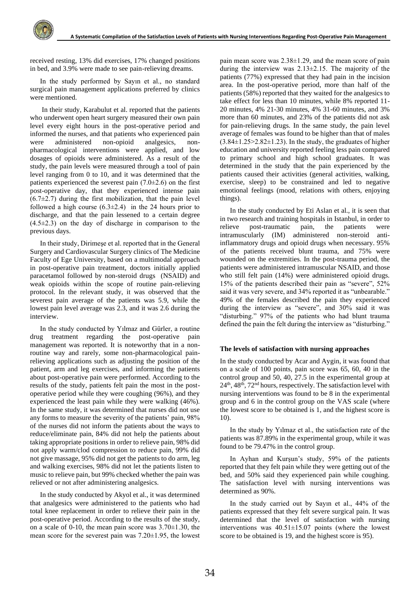received resting, 13% did exercises, 17% changed positions in bed, and 3.9% were made to see pain-relieving dreams.

In the study performed by Sayın et al., no standard surgical pain management applications preferred by clinics were mentioned.

In their study, Karabulut et al. reported that the patients who underwent open heart surgery measured their own pain level every eight hours in the post-operative period and informed the nurses, and that patients who experienced pain were administered non-opioid analgesics, nonpharmacological interventions were applied, and low dosages of opioids were administered. As a result of the study, the pain levels were measured through a tool of pain level ranging from 0 to 10, and it was determined that the patients experienced the severest pain  $(7.0\pm2.6)$  on the first post-operative day, that they experienced intense pain  $(6.7\pm2.7)$  during the first mobilization, that the pain level followed a high course  $(6.3\pm2.4)$  in the 24 hours prior to discharge, and that the pain lessened to a certain degree  $(4.5\pm2.3)$  on the day of discharge in comparison to the previous days.

In their study, Dirimeşe et al. reported that in the General Surgery and Cardiovascular Surgery clinics of The Medicine Faculty of Ege University, based on a multimodal approach in post-operative pain treatment, doctors initially applied paracetamol followed by non-steroid drugs (NSAID) and weak opioids within the scope of routine pain-relieving protocol. In the relevant study, it was observed that the severest pain average of the patients was 5.9, while the lowest pain level average was 2.3, and it was 2.6 during the interview.

In the study conducted by Yılmaz and Gürler, a routine drug treatment regarding the post-operative pain management was reported. It is noteworthy that in a nonroutine way and rarely, some non-pharmacological painrelieving applications such as adjusting the position of the patient, arm and leg exercises, and informing the patients about post-operative pain were performed. According to the results of the study, patients felt pain the most in the postoperative period while they were coughing (96%), and they experienced the least pain while they were walking (46%). In the same study, it was determined that nurses did not use any forms to measure the severity of the patients' pain, 98% of the nurses did not inform the patients about the ways to reduce/eliminate pain, 84% did not help the patients about taking appropriate positions in order to relieve pain, 98% did not apply warm/clod compression to reduce pain, 99% did not give massage, 95% did not get the patients to do arm, leg and walking exercises, 98% did not let the patients listen to music to relieve pain, but 99% checked whether the pain was relieved or not after administering analgesics.

In the study conducted by Akyol et al., it was determined that analgesics were administered to the patients who had total knee replacement in order to relieve their pain in the post-operative period. According to the results of the study, on a scale of 0-10, the mean pain score was 3.70±1.30, the mean score for the severest pain was 7.20±1.95, the lowest pain mean score was 2.38±1.29, and the mean score of pain during the interview was 2.13±2.15. The majority of the patients (77%) expressed that they had pain in the incision area. In the post-operative period, more than half of the patients (58%) reported that they waited for the analgesics to take effect for less than 10 minutes, while 8% reported 11- 20 minutes, 4% 21-30 minutes, 4% 31-60 minutes, and 3% more than 60 minutes, and 23% of the patients did not ask for pain-relieving drugs. In the same study, the pain level average of females was found to be higher than that of males  $(3.84\pm1.25>2.82\pm1.23)$ . In the study, the graduates of higher education and university reported feeling less pain compared to primary school and high school graduates. It was determined in the study that the pain experienced by the patients caused their activities (general activities, walking, exercise, sleep) to be constrained and led to negative emotional feelings (mood, relations with others, enjoying things).

In the study conducted by Eti Aslan et al., it is seen that in two research and training hospitals in Istanbul, in order to relieve post-traumatic pain, the patients were intramuscularly (IM) administered non-steroid antiinflammatory drugs and opioid drugs when necessary. 95% of the patients received blunt trauma, and 75% were wounded on the extremities. In the post-trauma period, the patients were administered intramuscular NSAID, and those who still felt pain (14%) were administered opioid drugs. 15% of the patients described their pain as "severe", 52% said it was very severe, and 34% reported it as "unbearable." 49% of the females described the pain they experienced during the interview as "severe", and 30% said it was "disturbing." 97% of the patients who had blunt trauma defined the pain the felt during the interview as "disturbing."

#### **The levels of satisfaction with nursing approaches**

In the study conducted by Acar and Aygin, it was found that on a scale of 100 points, pain score was 65, 60, 40 in the control group and 50, 40, 27.5 in the experimental group at  $24<sup>th</sup>$ ,  $48<sup>th</sup>$ ,  $72<sup>nd</sup>$  hours, respectively. The satisfaction level with nursing interventions was found to be 8 in the experimental group and 6 in the control group on the VAS scale (where the lowest score to be obtained is 1, and the highest score is 10).

In the study by Yılmaz et al., the satisfaction rate of the patients was 87.89% in the experimental group, while it was found to be 79.47% in the control group.

In Ayhan and Kurşun's study, 59% of the patients reported that they felt pain while they were getting out of the bed, and 50% said they experienced pain while coughing. The satisfaction level with nursing interventions was determined as 90%.

In the study carried out by Sayın et al., 44% of the patients expressed that they felt severe surgical pain. It was determined that the level of satisfaction with nursing interventions was 40.51±15.07 points (where the lowest score to be obtained is 19, and the highest score is 95).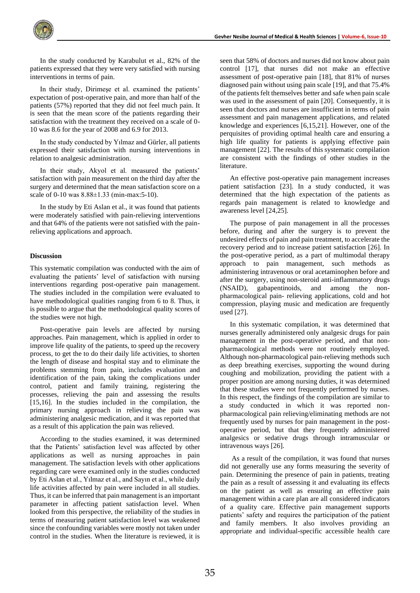

In the study conducted by Karabulut et al., 82% of the patients expressed that they were very satisfied with nursing interventions in terms of pain.

In their study, Dirimeşe et al. examined the patients' expectation of post-operative pain, and more than half of the patients (57%) reported that they did not feel much pain. It is seen that the mean score of the patients regarding their satisfaction with the treatment they received on a scale of 0- 10 was 8.6 for the year of 2008 and 6.9 for 2013.

In the study conducted by Yılmaz and Gürler, all patients expressed their satisfaction with nursing interventions in relation to analgesic administration.

In their study, Akyol et al. measured the patients' satisfaction with pain measurement on the third day after the surgery and determined that the mean satisfaction score on a scale of 0-10 was 8.88±1.33 (min-max:5-10).

In the study by Eti Aslan et al., it was found that patients were moderately satisfied with pain-relieving interventions and that 64% of the patients were not satisfied with the painrelieving applications and approach.

#### **Discussion**

This systematic compilation was conducted with the aim of evaluating the patients' level of satisfaction with nursing interventions regarding post-operative pain management. The studies included in the compilation were evaluated to have methodological qualities ranging from 6 to 8. Thus, it is possible to argue that the methodological quality scores of the studies were not high.

Post-operative pain levels are affected by nursing approaches. Pain management, which is applied in order to improve life quality of the patients, to speed up the recovery process, to get the to do their daily life activities, to shorten the length of disease and hospital stay and to eliminate the problems stemming from pain, includes evaluation and identification of the pain, taking the complications under control, patient and family training, registering the processes, relieving the pain and assessing the results [15,16]. In the studies included in the compilation, the primary nursing approach in relieving the pain was administering analgesic medication, and it was reported that as a result of this application the pain was relieved.

According to the studies examined, it was determined that the Patients' satisfaction level was affected by other applications as well as nursing approaches in pain management. The satisfaction levels with other applications regarding care were examined only in the studies conducted by Eti Aslan et al., Yılmaz et al., and Sayın et al., while daily life activities affected by pain were included in all studies. Thus, it can be inferred that pain management is an important parameter in affecting patient satisfaction level. When looked from this perspective, the reliability of the studies in terms of measuring patient satisfaction level was weakened since the confounding variables were mostly not taken under control in the studies. When the literature is reviewed, it is seen that 58% of doctors and nurses did not know about pain control [17], that nurses did not make an effective assessment of post-operative pain [18], that 81% of nurses diagnosed pain without using pain scale [19], and that 75.4% of the patients felt themselves better and safe when pain scale was used in the assessment of pain [20]. Consequently, it is seen that doctors and nurses are insufficient in terms of pain assessment and pain management applications, and related knowledge and experiences [6,15,21]. However, one of the perquisites of providing optimal health care and ensuring a high life quality for patients is applying effective pain management [22]. The results of this systematic compilation are consistent with the findings of other studies in the literature.

An effective post-operative pain management increases patient satisfaction [23]. In a study conducted, it was determined that the high expectation of the patients as regards pain management is related to knowledge and awareness level [24,25].

The purpose of pain management in all the processes before, during and after the surgery is to prevent the undesired effects of pain and pain treatment, to accelerate the recovery period and to increase patient satisfaction [26]. In the post-operative period, as a part of multimodal therapy approach to pain management, such methods as administering intravenous or oral acetaminophen before and after the surgery, using non-steroid anti-inflammatory drugs (NSAID), gabapentinoids, and among the nonpharmacological pain- relieving applications, cold and hot compression, playing music and medication are frequently used [27].

In this systematic compilation, it was determined that nurses generally administered only analgesic drugs for pain management in the post-operative period, and that nonpharmacological methods were not routinely employed. Although non-pharmacological pain-relieving methods such as deep breathing exercises, supporting the wound during coughing and mobilization, providing the patient with a proper position are among nursing duties, it was determined that these studies were not frequently performed by nurses. In this respect, the findings of the compilation are similar to a study conducted in which it was reported nonpharmacological pain relieving/eliminating methods are not frequently used by nurses for pain management in the postoperative period, but that they frequently administered analgesics or sedative drugs through intramuscular or intravenous ways [26].

As a result of the compilation, it was found that nurses did not generally use any forms measuring the severity of pain. Determining the presence of pain in patients, treating the pain as a result of assessing it and evaluating its effects on the patient as well as ensuring an effective pain management within a care plan are all considered indicators of a quality care. Effective pain management supports patients' safety and requires the participation of the patient and family members. It also involves providing an appropriate and individual-specific accessible health care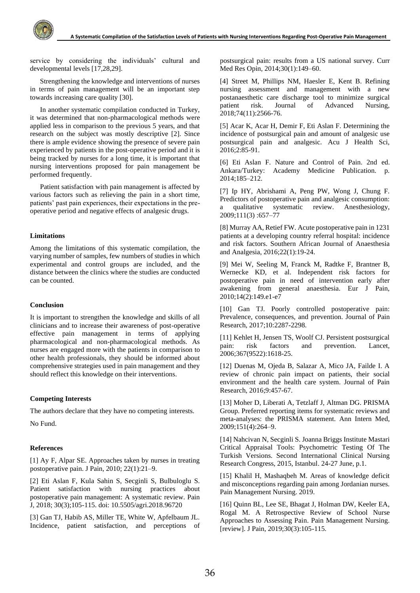service by considering the individuals' cultural and developmental levels [17,28,29].

Strengthening the knowledge and interventions of nurses in terms of pain management will be an important step towards increasing care quality [30].

In another systematic compilation conducted in Turkey, it was determined that non-pharmacological methods were applied less in comparison to the previous 5 years, and that research on the subject was mostly descriptive [2]. Since there is ample evidence showing the presence of severe pain experienced by patients in the post-operative period and it is being tracked by nurses for a long time, it is important that nursing interventions proposed for pain management be performed frequently.

Patient satisfaction with pain management is affected by various factors such as relieving the pain in a short time, patients' past pain experiences, their expectations in the preoperative period and negative effects of analgesic drugs.

# **Limitations**

Among the limitations of this systematic compilation, the varying number of samples, few numbers of studies in which experimental and control groups are included, and the distance between the clinics where the studies are conducted can be counted.

#### **Conclusion**

It is important to strengthen the knowledge and skills of all clinicians and to increase their awareness of post-operative effective pain management in terms of applying pharmacological and non-pharmacological methods. As nurses are engaged more with the patients in comparison to other health professionals, they should be informed about comprehensive strategies used in pain management and they should reflect this knowledge on their interventions.

#### **Competing Interests**

The authors declare that they have no competing interests.

No Fund.

# **References**

[1] Ay F, Alpar SE. Approaches taken by nurses in treating postoperative pain. J Pain, 2010; 22(1):21–9.

[2] Eti Aslan F, Kula Sahin S, Secginli S, Bulbuloglu S. Patient satisfaction with nursing practices about postoperative pain management: A systematic review. Pain J, 2018; 30(3);105-115. doi: 10.5505/agri.2018.96720

[3] Gan TJ, Habib AS, Miller TE, White W, Apfelbaum JL. Incidence, patient satisfaction, and perceptions of postsurgical pain: results from a US national survey. Curr Med Res Opin, 2014;30(1):149–60.

[4] Street M, Phillips NM, Haesler E, Kent B. Refining nursing assessment and management with a new postanaesthetic care discharge tool to minimize surgical patient risk. Journal of Advanced Nursing, 2018;74(11):2566-76.

[5] Acar K, Acar H, Demir F, Eti Aslan F. Determining the incidence of postsurgical pain and amount of analgesic use postsurgical pain and analgesic. Acu J Health Sci, 2016;2:85-91.

[6] Eti Aslan F. Nature and Control of Pain. 2nd ed. Ankara/Turkey: Academy Medicine Publication. p. 2014;185–212.

[7] Ip HY, Abrishami A, Peng PW, Wong J, Chung F. Predictors of postoperative pain and analgesic consumption: a qualitative systematic review. Anesthesiology, 2009;111(3) :657–77

[8] Murray AA, Retief FW. Acute postoperative pain in 1231 patients at a developing country referral hospital: incidence and risk factors. Southern African Journal of Anaesthesia and Analgesia, 2016;22(1):19-24.

[9] Mei W, Seeling M, Franck M, Radtke F, Brantner B, Wernecke KD, et al. Independent risk factors for postoperative pain in need of intervention early after awakening from general anaesthesia. Eur J Pain, 2010;14(2):149.e1-e7

[10] Gan TJ. Poorly controlled postoperative pain: Prevalence, consequences, and prevention. Journal of Pain Research, 2017;10:2287-2298.

[11] Kehlet H, Jensen TS, Woolf CJ. Persistent postsurgical pain: risk factors and prevention. Lancet, 2006;367(9522):1618-25.

[12] Duenas M, Ojeda B, Salazar A, Mico JA, Failde I. A review of chronic pain impact on patients, their social environment and the health care system. Journal of Pain Research, 2016;9:457-67.

[13] Moher D, Liberati A, Tetzlaff J, Altman DG. PRISMA Group. Preferred reporting items for systematic reviews and meta-analyses: the PRISMA statement. Ann Intern Med, 2009;151(4):264–9.

[14] Nahcivan N, Secginli S. Joanna Briggs Institute Mastari Critical Appraisal Tools: Psychometric Testing Of The Turkish Versions. Second International Clinical Nursing Research Congress, 2015, Istanbul. 24-27 June, p.1.

[15] Khalil H, Mashaqbeh M. Areas of knowledge deficit and misconceptions regarding pain among Jordanian nurses. Pain Management Nursing. 2019.

[16] Quinn BL, Lee SE, Bhagat J, Holman DW, Keeler EA, Rogal M. A Retrospective Review of School Nurse Approaches to Assessing Pain. Pain Management Nursing. [review]. J Pain, 2019;30(3):105-115.